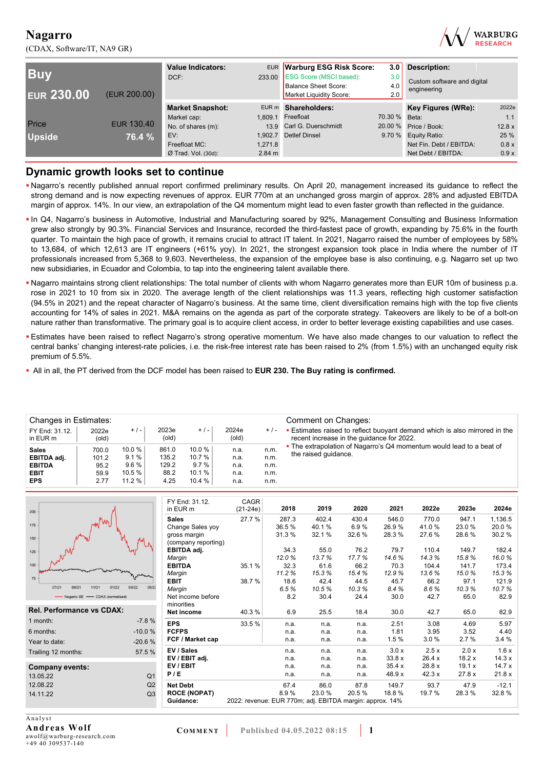(CDAX, Software/IT, NA9 GR)



| <b>Buv</b><br><b>EUR 230.00</b> | (EUR 200.00) | <b>Value Indicators:</b><br>DCF: | 233.00           | EUR Warburg ESG Risk Score:<br><b>ESG Score (MSCI based):</b><br>Balance Sheet Score:<br>Market Liquidity Score: | 3.0<br>3.0<br>4.0<br>2.0 | Description:<br>Custom software and digital<br>engineering |        |
|---------------------------------|--------------|----------------------------------|------------------|------------------------------------------------------------------------------------------------------------------|--------------------------|------------------------------------------------------------|--------|
|                                 |              | <b>Market Snapshot:</b>          |                  | EUR m Shareholders:                                                                                              |                          | Key Figures (WRe):                                         | 2022e  |
|                                 |              | Market cap:                      | 1.809.1          | Freefloat                                                                                                        | 70.30 % Beta:            |                                                            | 1.1    |
| Price                           | EUR 130.40   | No. of shares (m):               |                  | 13.9 Carl G. Duerschmidt                                                                                         | 20.00 %                  | Price / Book:                                              | 12.8 x |
| <b>Upside</b>                   | 76.4 %       | EV:                              | 1.902.7          | <b>Detlef Dinsel</b>                                                                                             |                          | 9.70 % Equity Ratio:                                       | 25 %   |
|                                 |              | Freefloat MC:                    | 1,271.8          |                                                                                                                  |                          | Net Fin. Debt / EBITDA:                                    | 0.8 x  |
|                                 |              | $Ø$ Trad. Vol. (30d):            | $2.84 \text{ m}$ |                                                                                                                  |                          | Net Debt / EBITDA:                                         | 0.9x   |

### **Dynamic growth looks set to continue**

- Nagarro's recently published annual report confirmed preliminary results. On April 20, management increased its guidance to reflect the strong demand and is now expecting revenues of approx. EUR 770m at an unchanged gross margin of approx. 28% and adjusted EBITDA margin of approx. 14%. In our view, an extrapolation of the Q4 momentum might lead to even faster growth than reflected in the guidance.
- In Q4, Nagarro's business in Automotive, Industrial and Manufacturing soared by 92%, Management Consulting and Business Information grew also strongly by 90.3%. Financial Services and Insurance, recorded the third-fastest pace of growth, expanding by 75.6% in the fourth quarter. To maintain the high pace of growth, it remains crucial to attract IT talent. In 2021, Nagarro raised the number of employees by 58% to 13,684, of which 12,613 are IT engineers (+61% yoy). In 2021, the strongest expansion took place in India where the number of IT professionals increased from 5,368 to 9,603. Nevertheless, the expansion of the employee base is also continuing, e.g. Nagarro set up two new subsidiaries, in Ecuador and Colombia, to tap into the engineering talent available there.
- Nagarro maintains strong client relationships: The total number of clients with whom Nagarro generates more than EUR 10m of business p.a. rose in 2021 to 10 from six in 2020. The average length of the client relationships was 11.3 years, reflecting high customer satisfaction (94.5% in 2021) and the repeat character of Nagarro's business. At the same time, client diversification remains high with the top five clients accounting for 14% of sales in 2021. M&A remains on the agenda as part of the corporate strategy. Takeovers are likely to be of a bolt-on nature rather than transformative. The primary goal is to acquire client access, in order to better leverage existing capabilities and use cases.
- Estimates have been raised to reflect Nagarro's strong operative momentum. We have also made changes to our valuation to reflect the central banks' changing interest-rate policies, i.e. the risk-free interest rate has been raised to 2% (from 1.5%) with an unchanged equity risk premium of 5.5%.
- All in all, the PT derived from the DCF model has been raised to **EUR 230. The Buy rating is confirmed.**

| Changes in Estimates:      |                |         |                |        |                |       | Comment on Changes:                                                                                                          |
|----------------------------|----------------|---------|----------------|--------|----------------|-------|------------------------------------------------------------------------------------------------------------------------------|
| FY End: 31.12.<br>in EUR m | 2022e<br>(old) | $+/-$   | 2023e<br>(old) | $+/-$  | 2024e<br>(old) | $+/-$ | <b>Estimates raised to reflect buoyant demand which is also mirrored in the</b><br>recent increase in the guidance for 2022. |
| <b>Sales</b>               | 700.0          | 10.0%   | 861.0          | 10.0%  | n.a.           | n.m.  | • The extrapolation of Nagarro's Q4 momentum would lead to a beat of                                                         |
| EBITDA adj.                | 101.2          | 9.1%    | 135.2          | 10.7%  | n.a.           | n.m.  | the raised guidance.                                                                                                         |
| <b>EBITDA</b>              | 95.2           | $9.6\%$ | 129.2          | 9.7%   | n.a.           | n.m.  |                                                                                                                              |
| <b>EBIT</b>                | 59.9           | 10.5%   | 88.2           | 10.1 % | n.a.           | n.m.  |                                                                                                                              |
| <b>EPS</b>                 | 2.77           | 11.2%   | 4.25           | 10.4 % | n.a.           | n.m.  |                                                                                                                              |

| 200                              |                | FY End: 31.12.<br>in EUR m | CAGR<br>$(21-24e)$                                       | 2018   | 2019  | 2020   | 2021   | 2022e  | 2023e  | 2024e   |
|----------------------------------|----------------|----------------------------|----------------------------------------------------------|--------|-------|--------|--------|--------|--------|---------|
|                                  |                | <b>Sales</b>               | 27.7 %                                                   | 287.3  | 402.4 | 430.4  | 546.0  | 770.0  | 947.1  | 1,136.5 |
| 175                              |                | Change Sales yoy           |                                                          | 36.5 % | 40.1% | 6.9%   | 26.9%  | 41.0%  | 23.0%  | 20.0%   |
| 150                              |                | gross margin               |                                                          | 31.3%  | 32.1% | 32.6%  | 28.3%  | 27.6%  | 28.6%  | 30.2%   |
|                                  |                | (company reporting)        |                                                          |        |       |        |        |        |        |         |
| 125                              |                | EBITDA adj.                |                                                          | 34.3   | 55.0  | 76.2   | 79.7   | 110.4  | 149.7  | 182.4   |
|                                  |                | Margin                     |                                                          | 12.0%  | 13.7% | 17.7%  | 14.6%  | 14.3%  | 15.8%  | 16.0%   |
| 100                              |                | <b>EBITDA</b>              | 35.1%                                                    | 32.3   | 61.6  | 66.2   | 70.3   | 104.4  | 141.7  | 173.4   |
| 75                               |                | Margin                     |                                                          | 11.2%  | 15.3% | 15.4%  | 12.9%  | 13.6%  | 15.0%  | 15.3%   |
|                                  |                | <b>EBIT</b>                | 38.7%                                                    | 18.6   | 42.4  | 44.5   | 45.7   | 66.2   | 97.1   | 121.9   |
| 07/21<br>09/21<br>01/22<br>11/21 | 03/22<br>05/22 | Margin                     |                                                          | 6.5%   | 10.5% | 10.3%  | 8.4%   | 8.6%   | 10.3%  | 10.7%   |
| - Nagarro SE - CDAX (normalised) |                | Net income before          |                                                          | 8.2    | 30.4  | 24.4   | 30.0   | 42.7   | 65.0   | 82.9    |
|                                  |                | minorities                 |                                                          |        |       |        |        |        |        |         |
| <b>Rel. Performance vs CDAX:</b> |                | Net income                 | 40.3%                                                    | 6.9    | 25.5  | 18.4   | 30.0   | 42.7   | 65.0   | 82.9    |
| 1 month:                         | $-7.8%$        | <b>EPS</b>                 | 33.5%                                                    | n.a.   | n.a.  | n.a.   | 2.51   | 3.08   | 4.69   | 5.97    |
| 6 months:                        | $-10.0%$       | <b>FCFPS</b>               |                                                          | n.a.   | n.a.  | n.a.   | 1.81   | 3.95   | 3.52   | 4.40    |
| Year to date:                    | $-20.6%$       | FCF / Market cap           |                                                          | n.a.   | n.a.  | n.a.   | 1.5%   | 3.0%   | 2.7%   | 3.4%    |
| Trailing 12 months:              | 57.5 %         | EV / Sales                 |                                                          | n.a.   | n.a.  | n.a.   | 3.0 x  | 2.5x   | 2.0 x  | 1.6x    |
|                                  |                | EV / EBIT adj.             |                                                          | n.a.   | n.a.  | n.a.   | 33.8x  | 26.4 x | 18.2x  | 14.3x   |
| Company events:                  |                | EV / EBIT                  |                                                          | n.a.   | n.a.  | n.a.   | 35.4x  | 28.8 x | 19.1 x | 14.7x   |
| 13.05.22                         | Q <sub>1</sub> | P/E                        |                                                          | n.a.   | n.a.  | n.a.   | 48.9 x | 42.3x  | 27.8x  | 21.8x   |
| 12.08.22                         | Q2             | <b>Net Debt</b>            |                                                          | 67.4   | 86.0  | 87.8   | 149.7  | 93.7   | 47.9   | $-12.1$ |
| 14.11.22                         | Q <sub>3</sub> | <b>ROCE (NOPAT)</b>        |                                                          | 8.9%   | 23.0% | 20.5 % | 18.8%  | 19.7 % | 28.3%  | 32.8%   |
|                                  |                | Guidance:                  | 2022: revenue: EUR 770m; adj. EBITDA margin: approx. 14% |        |       |        |        |        |        |         |
|                                  |                |                            |                                                          |        |       |        |        |        |        |         |

Analyst **Andreas Wolf**  awolf@warburg-research.com +49 40 309537-140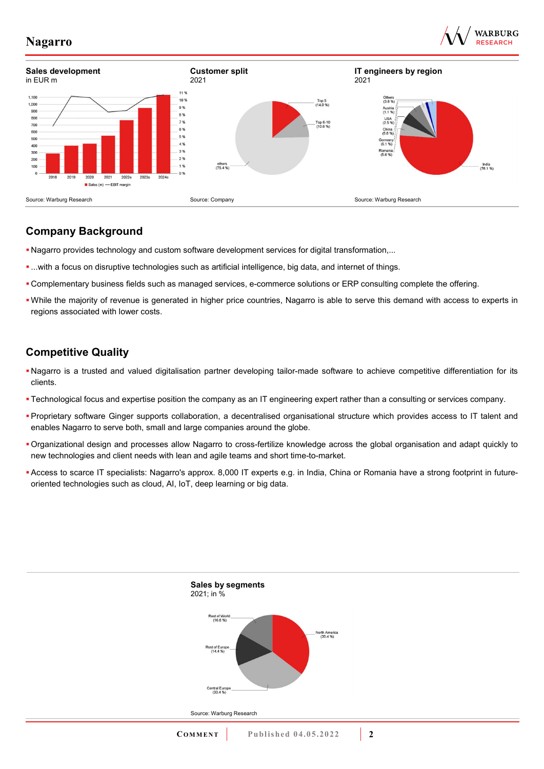





## **Company Background**

- Nagarro provides technology and custom software development services for digital transformation,...
- ...with a focus on disruptive technologies such as artificial intelligence, big data, and internet of things.
- Complementary business fields such as managed services, e-commerce solutions or ERP consulting complete the offering.
- While the majority of revenue is generated in higher price countries, Nagarro is able to serve this demand with access to experts in regions associated with lower costs.

## **Competitive Quality**

- Nagarro is a trusted and valued digitalisation partner developing tailor-made software to achieve competitive differentiation for its clients.
- Technological focus and expertise position the company as an IT engineering expert rather than a consulting or services company.
- Proprietary software Ginger supports collaboration, a decentralised organisational structure which provides access to IT talent and enables Nagarro to serve both, small and large companies around the globe.
- Organizational design and processes allow Nagarro to cross-fertilize knowledge across the global organisation and adapt quickly to new technologies and client needs with lean and agile teams and short time-to-market.
- Access to scarce IT specialists: Nagarro's approx. 8,000 IT experts e.g. in India, China or Romania have a strong footprint in futureoriented technologies such as cloud, AI, IoT, deep learning or big data.

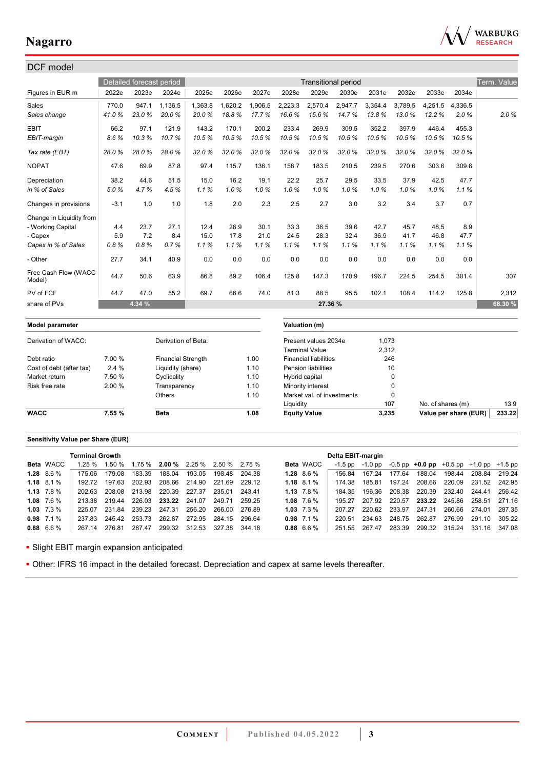

| DCF model                      |        |                          |                           |         |         |         |           |                              |                            |         |             |                   |                       |             |
|--------------------------------|--------|--------------------------|---------------------------|---------|---------|---------|-----------|------------------------------|----------------------------|---------|-------------|-------------------|-----------------------|-------------|
|                                |        | Detailed forecast period |                           |         |         |         |           |                              | <b>Transitional period</b> |         |             |                   |                       | Term. Value |
| Figures in EUR m               | 2022e  | 2023e                    | 2024e                     | 2025e   | 2026e   | 2027e   | 2028e     | 2029e                        | 2030e                      | 2031e   | 2032e       | 2033e             | 2034e                 |             |
| Sales                          | 770.0  | 947.1                    | 1,136.5                   | 1,363.8 | 1,620.2 | 1,906.5 | 2,223.3   | 2,570.4                      | 2,947.7                    | 3,354.4 | 3.789.5     | 4,251.5           | 4,336.5               |             |
| Sales change                   | 41.0%  | 23.0%                    | 20.0%                     | 20.0%   | 18.8%   | 17.7%   | 16.6%     | 15.6%                        | 14.7%                      | 13.8%   | 13.0%       | 12.2%             | 2.0%                  | 2.0%        |
| <b>EBIT</b>                    | 66.2   | 97.1                     | 121.9                     | 143.2   | 170.1   | 200.2   | 233.4     | 269.9                        | 309.5                      | 352.2   | 397.9       | 446.4             | 455.3                 |             |
| EBIT-margin                    | 8.6%   | 10.3%                    | 10.7%                     | 10.5%   | 10.5%   | 10.5%   | 10.5%     | 10.5%                        | 10.5%                      | 10.5%   | 10.5%       | 10.5%             | 10.5%                 |             |
| Tax rate (EBT)                 | 28.0%  | 28.0%                    | 28.0%                     | 32.0%   | 32.0%   | 32.0%   | 32.0%     | 32.0%                        | 32.0%                      | 32.0%   | 32.0%       | 32.0%             | 32.0%                 |             |
| <b>NOPAT</b>                   | 47.6   | 69.9                     | 87.8                      | 97.4    | 115.7   | 136.1   | 158.7     | 183.5                        | 210.5                      | 239.5   | 270.6       | 303.6             | 309.6                 |             |
| Depreciation                   | 38.2   | 44.6                     | 51.5                      | 15.0    | 16.2    | 19.1    | 22.2      | 25.7                         | 29.5                       | 33.5    | 37.9        | 42.5              | 47.7                  |             |
| in % of Sales                  | 5.0%   | 4.7%                     | 4.5%                      | 1.1%    | 1.0%    | 1.0%    | 1.0%      | 1.0%                         | 1.0%                       | 1.0%    | 1.0%        | 1.0%              | 1.1%                  |             |
| Changes in provisions          | $-3.1$ | 1.0                      | 1.0                       | 1.8     | 2.0     | 2.3     | 2.5       | 2.7                          | 3.0                        | 3.2     | 3.4         | 3.7               | 0.7                   |             |
| Change in Liquidity from       |        |                          |                           |         |         |         |           |                              |                            |         |             |                   |                       |             |
| - Working Capital              | 4.4    | 23.7                     | 27.1                      | 12.4    | 26.9    | 30.1    | 33.3      | 36.5                         | 39.6                       | 42.7    | 45.7        | 48.5              | 8.9                   |             |
| - Capex                        | 5.9    | 7.2                      | 8.4                       | 15.0    | 17.8    | 21.0    | 24.5      | 28.3                         | 32.4                       | 36.9    | 41.7        | 46.8              | 47.7                  |             |
| Capex in % of Sales            | 0.8%   | 0.8%                     | 0.7%                      | 1.1%    | 1.1%    | 1.1%    | 1.1%      | 1.1%                         | 1.1%                       | 1.1%    | 1.1%        | 1.1%              | 1.1%                  |             |
| - Other                        | 27.7   | 34.1                     | 40.9                      | 0.0     | 0.0     | 0.0     | 0.0       | 0.0                          | 0.0                        | 0.0     | 0.0         | 0.0               | 0.0                   |             |
| Free Cash Flow (WACC<br>Model) | 44.7   | 50.6                     | 63.9                      | 86.8    | 89.2    | 106.4   | 125.8     | 147.3                        | 170.9                      | 196.7   | 224.5       | 254.5             | 301.4                 | 307         |
| PV of FCF                      | 44.7   | 47.0                     | 55.2                      | 69.7    | 66.6    | 74.0    | 81.3      | 88.5                         | 95.5                       | 102.1   | 108.4       | 114.2             | 125.8                 | 2,312       |
| share of PVs                   |        | 4.34 %                   |                           |         |         |         |           | 27.36 %                      |                            |         |             |                   |                       | 68.30 %     |
| Model parameter                |        |                          |                           |         |         |         |           | Valuation (m)                |                            |         |             |                   |                       |             |
| Derivation of WACC:            |        |                          | Derivation of Beta:       |         |         |         |           | Present values 2034e         |                            | 1,073   |             |                   |                       |             |
|                                |        |                          |                           |         |         |         |           | <b>Terminal Value</b>        |                            | 2,312   |             |                   |                       |             |
| Debt ratio                     | 7.00 % |                          | <b>Financial Strength</b> |         |         | 1.00    |           | <b>Financial liabilities</b> |                            |         | 246         |                   |                       |             |
| Cost of debt (after tax)       | 2.4 %  |                          | Liquidity (share)         |         |         | 1.10    |           | <b>Pension liabilities</b>   |                            |         | 10          |                   |                       |             |
| Market return                  | 7.50 % |                          | Cyclicality               |         |         | 1.10    |           | Hybrid capital               |                            |         | 0           |                   |                       |             |
| Risk free rate                 | 2.00 % |                          | Transparency              |         |         | 1.10    |           | Minority interest            |                            |         | 0           |                   |                       |             |
|                                |        |                          | Others                    |         |         | 1.10    |           | Market val. of investments   |                            |         | $\mathbf 0$ |                   |                       |             |
|                                |        |                          |                           |         |         |         | Liquidity |                              |                            |         | 107         | No. of shares (m) |                       | 13.9        |
| <b>WACC</b>                    | 7.55 % |                          | <b>Beta</b>               |         |         | 1.08    |           | <b>Equity Value</b>          |                            | 3,235   |             |                   | Value per share (EUR) | 233.22      |

### **Sensitivity Value per Share (EUR)**

|                    | <b>Terminal Growth</b> |        |                                                           |        |                      |        |        |                  | Delta EBIT-margin |               |        |                                                   |        |                             |        |
|--------------------|------------------------|--------|-----------------------------------------------------------|--------|----------------------|--------|--------|------------------|-------------------|---------------|--------|---------------------------------------------------|--------|-----------------------------|--------|
| <b>Beta</b> WACC   | 1.25%                  |        | $1.50\%$ $1.75\%$ <b>2.00%</b> $2.25\%$ $2.50\%$ $2.75\%$ |        |                      |        |        | <b>Beta</b> WACC | -1.5 pp           | -1.0 pp       |        | $-0.5$ pp $+0.0$ pp $+0.5$ pp $+1.0$ pp $+1.5$ pp |        |                             |        |
| $1.28\quad 8.6\%$  | 175 06                 | 179.08 | 183.39                                                    | 188.04 | 193.05               | 198.48 | 204.38 | $1.28$ 8.6 %     | 15684             | 167.24        | 177.64 | 188.04                                            | 198.44 | 208.84                      | 219.24 |
| $1.18$ 8.1 %       | 192.72                 | 197.63 | 202.93                                                    |        | 208.66 214.90 221.69 |        | 229.12 | $1.18$ 8.1 %     | 174 38            | 185.81        | 197.24 |                                                   |        | 208.66 220.09 231.52 242.95 |        |
| $1.13 \quad 7.8\%$ | 202.63                 | 208.08 | 213.98                                                    |        | 220.39 227.37        | 235.01 | 243.41 | 1.13 $7.8\%$     | 184 35            | 196.36        |        | 208.38 220.39 232.40 244.41                       |        |                             | 256.42 |
| $1.08$ 7.6 %       | 213.38                 | 219.44 |                                                           |        | 226.03 233.22 241.07 | 249.71 | 259.25 | $1.08$ 7.6 %     | 195 27            | 207.92 220.57 |        |                                                   |        | <b>233.22</b> 245.86 258.51 | 271.16 |
| $1.03$ $7.3\%$     | 225.07                 | 231.84 | 239.23 247.31                                             |        | 256.20               | 266.00 | 276.89 | $1.03$ $7.3\%$   | 207 27            | 220.62        | 233.97 | 247.31                                            | 260.66 | 274.01                      | 287.35 |
| $0.98$ 7.1 %       | 237 83                 |        | 245.42 253.73 262.87                                      |        | 272.95 284.15        |        | 296.64 | $0.98$ 7.1 %     | 220.51            | 234.63        |        | 248.75 262.87                                     |        | 276.99 291.10               | 305.22 |
| $0.88\quad 6.6\%$  | 267.14                 | 276.81 | 287.47                                                    |        | 299.32 312.53        | 327.38 | 344.18 | $0.88$ 6.6 %     | 251.55            | 267.47        | 283.39 |                                                   |        | 299.32 315.24 331.16 347.08 |        |
|                    |                        |        |                                                           |        |                      |        |        |                  |                   |               |        |                                                   |        |                             |        |

**- Slight EBIT margin expansion anticipated** 

Other: IFRS 16 impact in the detailed forecast. Depreciation and capex at same levels thereafter.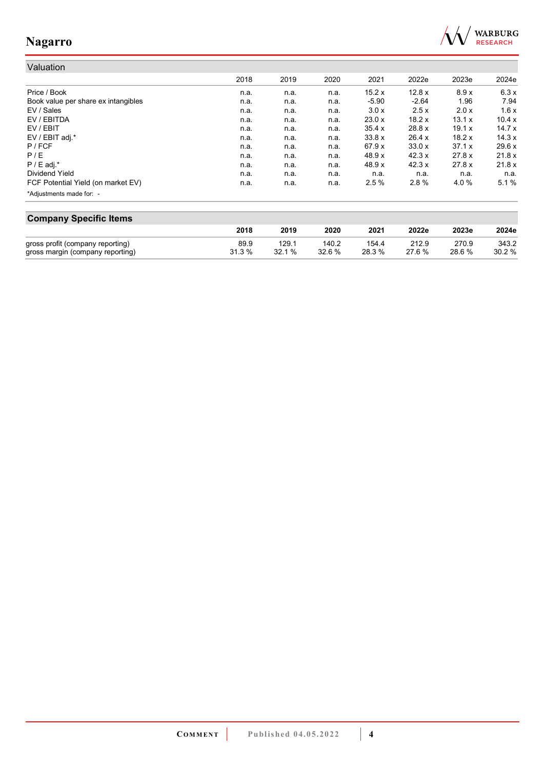

# Valuation

|                                     | 2018 | 2019 | 2020 | 2021    | 2022e   | 2023e  | 2024e  |
|-------------------------------------|------|------|------|---------|---------|--------|--------|
| Price / Book                        | n.a. | n.a. | n.a. | 15.2x   | 12.8x   | 8.9x   | 6.3x   |
| Book value per share ex intangibles | n.a. | n.a. | n.a. | $-5.90$ | $-2.64$ | 1.96   | 7.94   |
| EV / Sales                          | n.a. | n.a. | n.a. | 3.0 x   | 2.5x    | 2.0x   | 1.6x   |
| EV / EBITDA                         | n.a. | n.a. | n.a. | 23.0x   | 18.2x   | 13.1 x | 10.4x  |
| EV / EBIT                           | n.a. | n.a. | n.a. | 35.4 x  | 28.8 x  | 19.1 x | 14.7x  |
| EV / EBIT adj.*                     | n.a. | n.a. | n.a. | 33.8x   | 26.4 x  | 18.2x  | 14.3x  |
| $P$ / FCF                           | n.a. | n.a. | n.a. | 67.9x   | 33.0x   | 37.1 x | 29.6x  |
| P/E                                 | n.a. | n.a. | n.a. | 48.9 x  | 42.3 x  | 27.8 x | 21.8x  |
| $P / E$ adj.*                       | n.a. | n.a. | n.a. | 48.9 x  | 42.3 x  | 27.8x  | 21.8 x |
| Dividend Yield                      | n.a. | n.a. | n.a. | n.a.    | n.a.    | n.a.   | n.a.   |
| FCF Potential Yield (on market EV)  | n.a. | n.a. | n.a. | 2.5%    | 2.8%    | 4.0%   | 5.1%   |
| *Adjustments made for: -            |      |      |      |         |         |        |        |

| <b>Company Specific Items</b>    |        |        |        |        |       |        |       |  |  |  |  |  |
|----------------------------------|--------|--------|--------|--------|-------|--------|-------|--|--|--|--|--|
|                                  | 2018   | 2019   | 2020   | 2021   | 2022e | 2023e  | 2024e |  |  |  |  |  |
| gross profit (company reporting) | 89.9   | 129.1  | 140.2  | 154.4  | 212.9 | 270.9  | 343.2 |  |  |  |  |  |
| gross margin (company reporting) | 31.3 % | 32.1 % | 32.6 % | 28.3 % | 276%  | 28.6 % | 30.2% |  |  |  |  |  |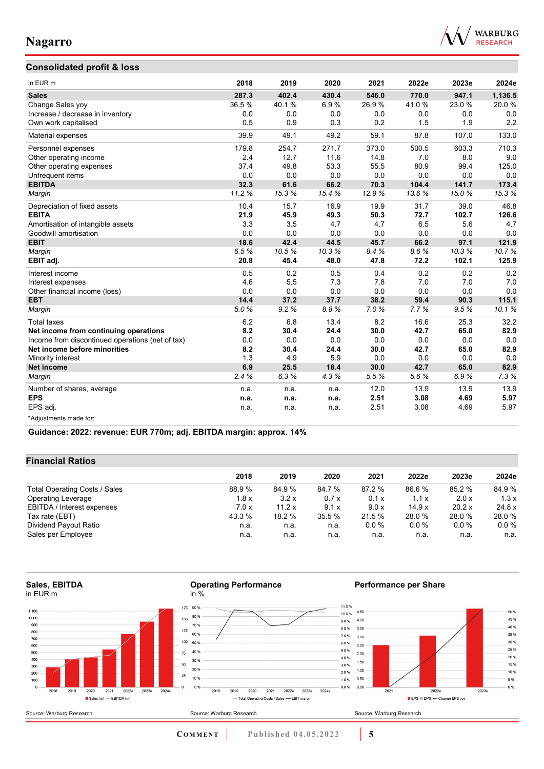



| In EUR <sub>m</sub>                              | 2018  | 2019  | 2020  | 2021  | 2022e | 2023e | 2024e   |
|--------------------------------------------------|-------|-------|-------|-------|-------|-------|---------|
| <b>Sales</b>                                     | 287.3 | 402.4 | 430.4 | 546.0 | 770.0 | 947.1 | 1,136.5 |
| Change Sales yoy                                 | 36.5% | 40.1% | 6.9%  | 26.9% | 41.0% | 23.0% | 20.0%   |
| Increase / decrease in inventory                 | 0.0   | 0.0   | 0.0   | 0.0   | 0.0   | 0.0   | 0.0     |
| Own work capitalised                             | 0.5   | 0.9   | 0.3   | 0.2   | 1.5   | 1.9   | 2.2     |
| Material expenses                                | 39.9  | 49.1  | 49.2  | 59.1  | 87.8  | 107.0 | 133.0   |
| Personnel expenses                               | 179.8 | 254.7 | 271.7 | 373.0 | 500.5 | 603.3 | 710.3   |
| Other operating income                           | 2.4   | 12.7  | 11.6  | 14.8  | 7.0   | 8.0   | 9.0     |
| Other operating expenses                         | 37.4  | 49.8  | 53.3  | 55.5  | 80.9  | 99.4  | 125.0   |
| Unfrequent items                                 | 0.0   | 0.0   | 0.0   | 0.0   | 0.0   | 0.0   | 0.0     |
| <b>EBITDA</b>                                    | 32.3  | 61.6  | 66.2  | 70.3  | 104.4 | 141.7 | 173.4   |
| Margin                                           | 11.2% | 153%  | 15.4% | 12.9% | 13.6% | 15.0% | 153%    |
| Depreciation of fixed assets                     | 10.4  | 15.7  | 16.9  | 19.9  | 31.7  | 39.0  | 46.8    |
| <b>EBITA</b>                                     | 21.9  | 45.9  | 49.3  | 50.3  | 72.7  | 102.7 | 126.6   |
| Amortisation of intangible assets                | 3.3   | 3.5   | 4.7   | 4.7   | 6.5   | 5.6   | 4.7     |
| Goodwill amortisation                            | 0.0   | 0.0   | 0.0   | 0.0   | 0.0   | 0.0   | 0.0     |
| <b>EBIT</b>                                      | 18.6  | 42.4  | 44.5  | 45.7  | 66.2  | 97.1  | 121.9   |
| Margin                                           | 6.5%  | 10.5% | 10.3% | 8.4%  | 8.6%  | 10.3% | 10.7%   |
| EBIT adj.                                        | 20.8  | 45.4  | 48.0  | 47.8  | 72.2  | 102.1 | 125.9   |
| Interest income                                  | 0.5   | 0.2   | 0.5   | 0.4   | 0.2   | 0.2   | 0.2     |
| Interest expenses                                | 4.6   | 5.5   | 7.3   | 7.8   | 7.0   | 7.0   | 7.0     |
| Other financial income (loss)                    | 0.0   | 0.0   | 0.0   | 0.0   | 0.0   | 0.0   | 0.0     |
| <b>EBT</b>                                       | 14.4  | 37.2  | 37.7  | 38.2  | 59.4  | 90.3  | 115.1   |
| Margin                                           | 5.0%  | 9.2%  | 8.8%  | 7.0%  | 7.7%  | 9.5%  | 10.1%   |
| <b>Total taxes</b>                               | 6.2   | 6.8   | 13.4  | 8.2   | 16.6  | 25.3  | 32.2    |
| Net income from continuing operations            | 8.2   | 30.4  | 24.4  | 30.0  | 42.7  | 65.0  | 82.9    |
| Income from discontinued operations (net of tax) | 0.0   | 0.0   | 0.0   | 0.0   | 0.0   | 0.0   | 0.0     |
| Net income before minorities                     | 8.2   | 30.4  | 24.4  | 30.0  | 42.7  | 65.0  | 82.9    |
| Minority interest                                | 1.3   | 4.9   | 5.9   | 0.0   | 0.0   | 0.0   | 0.0     |
| <b>Net income</b>                                | 6.9   | 25.5  | 18.4  | 30.0  | 42.7  | 65.0  | 82.9    |
| Margin                                           | 2.4%  | 6.3%  | 4.3%  | 5.5%  | 5.6%  | 6.9%  | 7.3%    |
| Number of shares, average                        | n.a.  | n.a.  | n.a.  | 12.0  | 13.9  | 13.9  | 13.9    |
| <b>EPS</b>                                       | n.a.  | n.a.  | n.a.  | 2.51  | 3.08  | 4.69  | 5.97    |
| EPS adj.                                         | n.a.  | n.a.  | n.a.  | 2.51  | 3.08  | 4.69  | 5.97    |
| *Adjustments made for:                           |       |       |       |       |       |       |         |

**Guidance: 2022: revenue: EUR 770m; adj. EBITDA margin: approx. 14%**

### **Financial Ratios**

|                               | 2018   | 2019   | 2020   | 2021   | 2022e  | 2023e   | 2024e   |  |
|-------------------------------|--------|--------|--------|--------|--------|---------|---------|--|
| Total Operating Costs / Sales | 88.9%  | 84.9 % | 84.7 % | 87.2 % | 86.6 % | 85.2 %  | 84.9 %  |  |
| Operating Leverage            | 1.8x   | 3.2x   | 0.7x   | 0.1 x  | 1.1x   | 2.0x    | 1.3x    |  |
| EBITDA / Interest expenses    | 7.0x   | 11.2 x | 9.1x   | 9.0 x  | 14.9x  | 20.2 x  | 24.8 x  |  |
| Tax rate (EBT)                | 43.3 % | 18.2 % | 35.5%  | 21.5%  | 28.0 % | 28.0%   | 28.0%   |  |
| Dividend Payout Ratio         | n.a.   | n.a.   | n.a.   | 0.0%   | 0.0%   | $0.0\%$ | $0.0\%$ |  |
| Sales per Employee            | n.a.   | n.a.   | n.a.   | n.a.   | n.a.   | n.a.    | n.a.    |  |

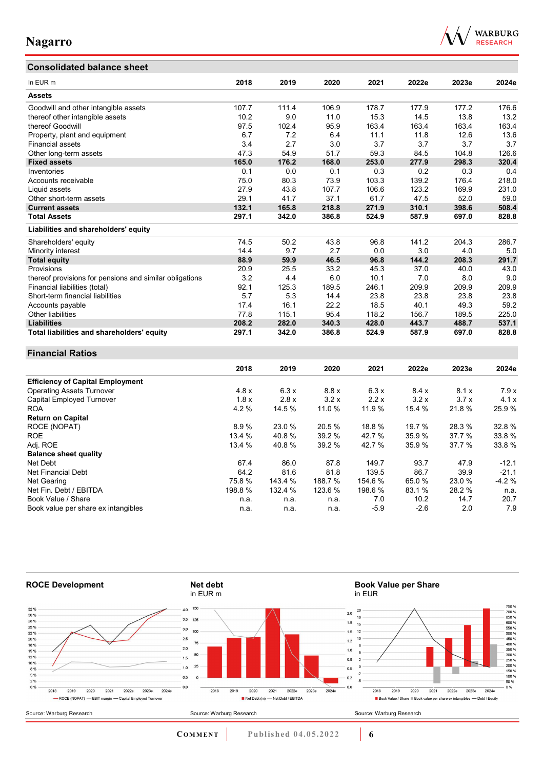## **Consolidated balance sheet**

Book value per share ex intangibles



| In EUR m                                                | 2018    | 2019    | 2020    | 2021    | 2022e  | 2023e  | 2024e   |
|---------------------------------------------------------|---------|---------|---------|---------|--------|--------|---------|
| <b>Assets</b>                                           |         |         |         |         |        |        |         |
| Goodwill and other intangible assets                    | 107.7   | 111.4   | 106.9   | 178.7   | 177.9  | 177.2  | 176.6   |
| thereof other intangible assets                         | 10.2    | 9.0     | 11.0    | 15.3    | 14.5   | 13.8   | 13.2    |
| thereof Goodwill                                        | 97.5    | 102.4   | 95.9    | 163.4   | 163.4  | 163.4  | 163.4   |
| Property, plant and equipment                           | 6.7     | 7.2     | 6.4     | 11.1    | 11.8   | 12.6   | 13.6    |
| Financial assets                                        | 3.4     | 2.7     | 3.0     | 3.7     | 3.7    | 3.7    | 3.7     |
| Other long-term assets                                  | 47.3    | 54.9    | 51.7    | 59.3    | 84.5   | 104.8  | 126.6   |
| <b>Fixed assets</b>                                     | 165.0   | 176.2   | 168.0   | 253.0   | 277.9  | 298.3  | 320.4   |
| Inventories                                             | 0.1     | 0.0     | 0.1     | 0.3     | 0.2    | 0.3    | 0.4     |
| Accounts receivable                                     | 75.0    | 80.3    | 73.9    | 103.3   | 139.2  | 176.4  | 218.0   |
| Liquid assets                                           | 27.9    | 43.8    | 107.7   | 106.6   | 123.2  | 169.9  | 231.0   |
| Other short-term assets                                 | 29.1    | 41.7    | 37.1    | 61.7    | 47.5   | 52.0   | 59.0    |
| <b>Current assets</b>                                   | 132.1   | 165.8   | 218.8   | 271.9   | 310.1  | 398.6  | 508.4   |
| <b>Total Assets</b>                                     | 297.1   | 342.0   | 386.8   | 524.9   | 587.9  | 697.0  | 828.8   |
| Liabilities and shareholders' equity                    |         |         |         |         |        |        |         |
| Shareholders' equity                                    | 74.5    | 50.2    | 43.8    | 96.8    | 141.2  | 204.3  | 286.7   |
| Minority interest                                       | 14.4    | 9.7     | 2.7     | 0.0     | 3.0    | 4.0    | 5.0     |
| <b>Total equity</b>                                     | 88.9    | 59.9    | 46.5    | 96.8    | 144.2  | 208.3  | 291.7   |
| Provisions                                              | 20.9    | 25.5    | 33.2    | 45.3    | 37.0   | 40.0   | 43.0    |
| thereof provisions for pensions and similar obligations | 3.2     | 4.4     | 6.0     | 10.1    | 7.0    | 8.0    | 9.0     |
| Financial liabilities (total)                           | 92.1    | 125.3   | 189.5   | 246.1   | 209.9  | 209.9  | 209.9   |
| Short-term financial liabilities                        | 5.7     | 5.3     | 14.4    | 23.8    | 23.8   | 23.8   | 23.8    |
| Accounts payable                                        | 17.4    | 16.1    | 22.2    | 18.5    | 40.1   | 49.3   | 59.2    |
| Other liabilities                                       | 77.8    | 115.1   | 95.4    | 118.2   | 156.7  | 189.5  | 225.0   |
| <b>Liabilities</b>                                      | 208.2   | 282.0   | 340.3   | 428.0   | 443.7  | 488.7  | 537.1   |
| Total liabilities and shareholders' equity              | 297.1   | 342.0   | 386.8   | 524.9   | 587.9  | 697.0  | 828.8   |
| <b>Financial Ratios</b>                                 |         |         |         |         |        |        |         |
|                                                         | 2018    | 2019    | 2020    | 2021    | 2022e  | 2023e  | 2024e   |
| <b>Efficiency of Capital Employment</b>                 |         |         |         |         |        |        |         |
| <b>Operating Assets Turnover</b>                        | 4.8x    | 6.3x    | 8.8 x   | 6.3x    | 8.4x   | 8.1x   | 7.9x    |
| <b>Capital Employed Turnover</b>                        | 1.8x    | 2.8x    | 3.2x    | 2.2x    | 3.2x   | 3.7x   | 4.1x    |
| <b>ROA</b>                                              | 4.2%    | 14.5 %  | 11.0 %  | 11.9 %  | 15.4 % | 21.8%  | 25.9%   |
| <b>Return on Capital</b>                                |         |         |         |         |        |        |         |
| ROCE (NOPAT)                                            | 8.9%    | 23.0%   | 20.5%   | 18.8%   | 19.7 % | 28.3%  | 32.8%   |
| <b>ROE</b>                                              | 13.4 %  | 40.8%   | 39.2 %  | 42.7 %  | 35.9%  | 37.7 % | 33.8%   |
| Adj. ROE                                                | 13.4 %  | 40.8%   | 39.2 %  | 42.7 %  | 35.9%  | 37.7 % | 33.8%   |
| <b>Balance sheet quality</b>                            |         |         |         |         |        |        |         |
| Net Debt                                                | 67.4    | 86.0    | 87.8    | 149.7   | 93.7   | 47.9   | $-12.1$ |
| <b>Net Financial Debt</b>                               | 64.2    | 81.6    | 81.8    | 139.5   | 86.7   | 39.9   | $-21.1$ |
| Net Gearing                                             | 75.8%   | 143.4 % | 188.7%  | 154.6 % | 65.0%  | 23.0%  | $-4.2%$ |
| Net Fin. Debt / EBITDA                                  | 198.8 % | 132.4 % | 123.6 % | 198.6 % | 83.1 % | 28.2%  | n.a.    |
| Book Value / Share                                      | n.a.    | n.a.    | n.a.    | 7.0     | 10.2   | 14.7   | 20.7    |



Book Value / Share n.a. n.a. n.a. 7.0 10.2 14.7 20.7

**COMMENT** Published 04.05.2022 **6**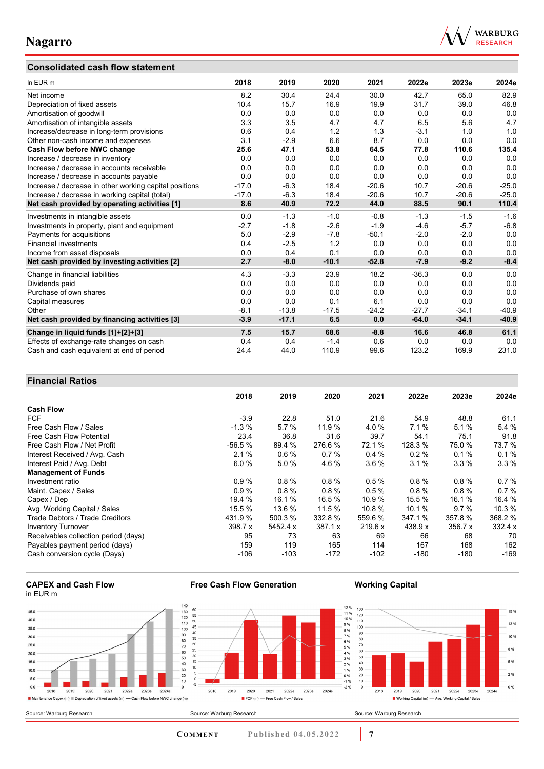### **Consolidated cash flow statement**



| In EUR m                                               | 2018    | 2019    | 2020    | 2021    | 2022e   | 2023e   | 2024e   |
|--------------------------------------------------------|---------|---------|---------|---------|---------|---------|---------|
| Net income                                             | 8.2     | 30.4    | 24.4    | 30.0    | 42.7    | 65.0    | 82.9    |
| Depreciation of fixed assets                           | 10.4    | 15.7    | 16.9    | 19.9    | 31.7    | 39.0    | 46.8    |
| Amortisation of goodwill                               | 0.0     | 0.0     | 0.0     | 0.0     | 0.0     | 0.0     | 0.0     |
| Amortisation of intangible assets                      | 3.3     | 3.5     | 4.7     | 4.7     | 6.5     | 5.6     | 4.7     |
| Increase/decrease in long-term provisions              | 0.6     | 0.4     | 1.2     | 1.3     | $-3.1$  | 1.0     | 1.0     |
| Other non-cash income and expenses                     | 3.1     | $-2.9$  | 6.6     | 8.7     | 0.0     | 0.0     | 0.0     |
| Cash Flow before NWC change                            | 25.6    | 47.1    | 53.8    | 64.5    | 77.8    | 110.6   | 135.4   |
| Increase / decrease in inventory                       | 0.0     | 0.0     | 0.0     | 0.0     | 0.0     | 0.0     | 0.0     |
| Increase / decrease in accounts receivable             | 0.0     | 0.0     | 0.0     | 0.0     | 0.0     | 0.0     | 0.0     |
| Increase / decrease in accounts payable                | 0.0     | 0.0     | 0.0     | 0.0     | 0.0     | 0.0     | 0.0     |
| Increase / decrease in other working capital positions | $-17.0$ | $-6.3$  | 18.4    | $-20.6$ | 10.7    | $-20.6$ | $-25.0$ |
| Increase / decrease in working capital (total)         | $-17.0$ | $-6.3$  | 18.4    | $-20.6$ | 10.7    | $-20.6$ | $-25.0$ |
| Net cash provided by operating activities [1]          | 8.6     | 40.9    | 72.2    | 44.0    | 88.5    | 90.1    | 110.4   |
| Investments in intangible assets                       | 0.0     | $-1.3$  | $-1.0$  | $-0.8$  | $-1.3$  | $-1.5$  | $-1.6$  |
| Investments in property, plant and equipment           | $-2.7$  | $-1.8$  | $-2.6$  | $-1.9$  | $-4.6$  | $-5.7$  | $-6.8$  |
| Payments for acquisitions                              | 5.0     | $-2.9$  | $-7.8$  | $-50.1$ | $-2.0$  | $-2.0$  | 0.0     |
| <b>Financial investments</b>                           | 0.4     | $-2.5$  | 1.2     | 0.0     | 0.0     | 0.0     | 0.0     |
| Income from asset disposals                            | 0.0     | 0.4     | 0.1     | 0.0     | 0.0     | 0.0     | 0.0     |
| Net cash provided by investing activities [2]          | 2.7     | $-8.0$  | $-10.1$ | $-52.8$ | $-7.9$  | $-9.2$  | $-8.4$  |
| Change in financial liabilities                        | 4.3     | $-3.3$  | 23.9    | 18.2    | $-36.3$ | 0.0     | 0.0     |
| Dividends paid                                         | 0.0     | 0.0     | 0.0     | 0.0     | 0.0     | 0.0     | 0.0     |
| Purchase of own shares                                 | 0.0     | 0.0     | 0.0     | 0.0     | 0.0     | 0.0     | 0.0     |
| Capital measures                                       | 0.0     | 0.0     | 0.1     | 6.1     | 0.0     | 0.0     | 0.0     |
| Other                                                  | $-8.1$  | $-13.8$ | $-17.5$ | $-24.2$ | $-27.7$ | $-34.1$ | $-40.9$ |
| Net cash provided by financing activities [3]          | $-3.9$  | $-17.1$ | 6.5     | 0.0     | $-64.0$ | $-34.1$ | $-40.9$ |
| Change in liquid funds [1]+[2]+[3]                     | 7.5     | 15.7    | 68.6    | $-8.8$  | 16.6    | 46.8    | 61.1    |
| Effects of exchange-rate changes on cash               | 0.4     | 0.4     | $-1.4$  | 0.6     | 0.0     | 0.0     | 0.0     |
| Cash and cash equivalent at end of period              | 24.4    | 44.0    | 110.9   | 99.6    | 123.2   | 169.9   | 231.0   |

### **Financial Ratios**

|                                      | 2018      | 2019     | 2020     | 2021    | 2022e    | 2023e   | 2024e   |
|--------------------------------------|-----------|----------|----------|---------|----------|---------|---------|
| <b>Cash Flow</b>                     |           |          |          |         |          |         |         |
| <b>FCF</b>                           | $-3.9$    | 22.8     | 51.0     | 21.6    | 54.9     | 48.8    | 61.1    |
| Free Cash Flow / Sales               | $-1.3%$   | 5.7%     | 11.9 %   | 4.0%    | 7.1%     | 5.1%    | 5.4%    |
| Free Cash Flow Potential             | 23.4      | 36.8     | 31.6     | 39.7    | 54.1     | 75.1    | 91.8    |
| Free Cash Flow / Net Profit          | $-56.5%$  | 89.4 %   | 276.6%   | 72.1 %  | 128.3 %  | 75.0%   | 73.7 %  |
| Interest Received / Avg. Cash        | 2.1%      | 0.6%     | 0.7%     | 0.4%    | $0.2 \%$ | 0.1%    | 0.1%    |
| Interest Paid / Avg. Debt            | 6.0%      | 5.0%     | 4.6%     | 3.6%    | 3.1%     | 3.3%    | 3.3%    |
| <b>Management of Funds</b>           |           |          |          |         |          |         |         |
| Investment ratio                     | 0.9%      | 0.8%     | 0.8%     | 0.5%    | 0.8%     | 0.8%    | 0.7%    |
| Maint. Capex / Sales                 | 0.9%      | 0.8%     | $0.8 \%$ | 0.5%    | 0.8%     | 0.8%    | 0.7%    |
| Capex / Dep                          | 19.4 %    | 16.1 %   | 16.5 %   | 10.9 %  | 15.5 %   | 16.1 %  | 16.4 %  |
| Avg. Working Capital / Sales         | 15.5 %    | 13.6 %   | 11.5 %   | 10.8 %  | 10.1 %   | 9.7%    | 10.3 %  |
| Trade Debtors / Trade Creditors      | 431.9 %   | 500.3 %  | 332.8 %  | 559.6 % | 347.1 %  | 357.8 % | 368.2 % |
| <b>Inventory Turnover</b>            | 398.7 $x$ | 5452.4 x | 387.1 x  | 219.6 x | 438.9 x  | 356.7 x | 332.4 x |
| Receivables collection period (days) | 95        | 73       | 63       | 69      | 66       | 68      | 70      |
| Payables payment period (days)       | 159       | 119      | 165      | 114     | 167      | 168     | 162     |
| Cash conversion cycle (Days)         | $-106$    | -103     | -172     | $-102$  | -180     | $-180$  | $-169$  |





**Free Cash Flow Generation**

**COMMENT Published 04.05.2022 7** 

**Working Capital**

15 %

12 %

 $10%$ 

8%

5 %

 $2%$ 

 $0%$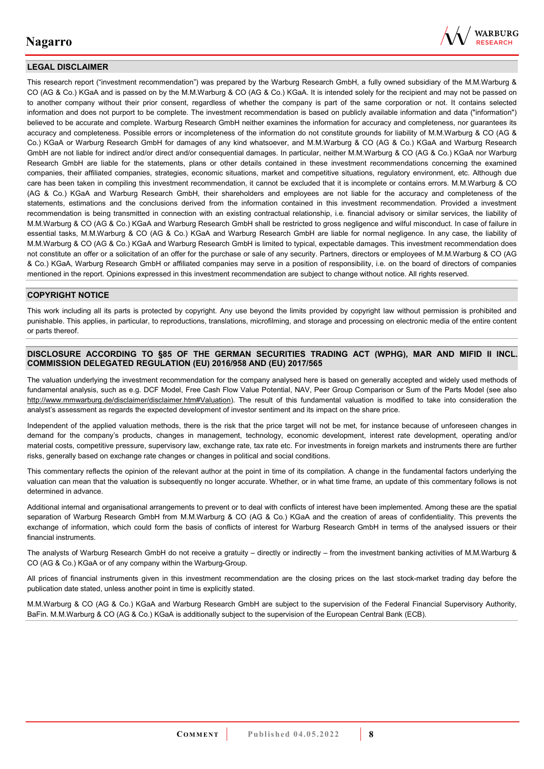

#### **LEGAL DISCLAIMER**

This research report ("investment recommendation") was prepared by the Warburg Research GmbH, a fully owned subsidiary of the M.M.Warburg & CO (AG & Co.) KGaA and is passed on by the M.M.Warburg & CO (AG & Co.) KGaA. It is intended solely for the recipient and may not be passed on to another company without their prior consent, regardless of whether the company is part of the same corporation or not. It contains selected information and does not purport to be complete. The investment recommendation is based on publicly available information and data ("information") believed to be accurate and complete. Warburg Research GmbH neither examines the information for accuracy and completeness, nor guarantees its accuracy and completeness. Possible errors or incompleteness of the information do not constitute grounds for liability of M.M.Warburg & CO (AG & Co.) KGaA or Warburg Research GmbH for damages of any kind whatsoever, and M.M.Warburg & CO (AG & Co.) KGaA and Warburg Research GmbH are not liable for indirect and/or direct and/or consequential damages. In particular, neither M.M.Warburg & CO (AG & Co.) KGaA nor Warburg Research GmbH are liable for the statements, plans or other details contained in these investment recommendations concerning the examined companies, their affiliated companies, strategies, economic situations, market and competitive situations, regulatory environment, etc. Although due care has been taken in compiling this investment recommendation, it cannot be excluded that it is incomplete or contains errors. M.M.Warburg & CO (AG & Co.) KGaA and Warburg Research GmbH, their shareholders and employees are not liable for the accuracy and completeness of the statements, estimations and the conclusions derived from the information contained in this investment recommendation. Provided a investment recommendation is being transmitted in connection with an existing contractual relationship, i.e. financial advisory or similar services, the liability of M.M.Warburg & CO (AG & Co.) KGaA and Warburg Research GmbH shall be restricted to gross negligence and wilful misconduct. In case of failure in essential tasks, M.M.Warburg & CO (AG & Co.) KGaA and Warburg Research GmbH are liable for normal negligence. In any case, the liability of M.M.Warburg & CO (AG & Co.) KGaA and Warburg Research GmbH is limited to typical, expectable damages. This investment recommendation does not constitute an offer or a solicitation of an offer for the purchase or sale of any security. Partners, directors or employees of M.M.Warburg & CO (AG & Co.) KGaA, Warburg Research GmbH or affiliated companies may serve in a position of responsibility, i.e. on the board of directors of companies mentioned in the report. Opinions expressed in this investment recommendation are subject to change without notice. All rights reserved.

#### **COPYRIGHT NOTICE**

This work including all its parts is protected by copyright. Any use beyond the limits provided by copyright law without permission is prohibited and punishable. This applies, in particular, to reproductions, translations, microfilming, and storage and processing on electronic media of the entire content or parts thereof.

#### **DISCLOSURE ACCORDING TO §85 OF THE GERMAN SECURITIES TRADING ACT (WPHG), MAR AND MIFID II INCL. COMMISSION DELEGATED REGULATION (EU) 2016/958 AND (EU) 2017/565**

The valuation underlying the investment recommendation for the company analysed here is based on generally accepted and widely used methods of fundamental analysis, such as e.g. DCF Model, Free Cash Flow Value Potential, NAV, Peer Group Comparison or Sum of the Parts Model (see also [http://www.mmwarburg.de/disclaimer/disclaimer.htm#Valuation\)](http://www.mmwarburg.de/disclaimer/disclaimer.htm#Valuation). The result of this fundamental valuation is modified to take into consideration the analyst's assessment as regards the expected development of investor sentiment and its impact on the share price.

Independent of the applied valuation methods, there is the risk that the price target will not be met, for instance because of unforeseen changes in demand for the company's products, changes in management, technology, economic development, interest rate development, operating and/or material costs, competitive pressure, supervisory law, exchange rate, tax rate etc. For investments in foreign markets and instruments there are further risks, generally based on exchange rate changes or changes in political and social conditions.

This commentary reflects the opinion of the relevant author at the point in time of its compilation. A change in the fundamental factors underlying the valuation can mean that the valuation is subsequently no longer accurate. Whether, or in what time frame, an update of this commentary follows is not determined in advance.

Additional internal and organisational arrangements to prevent or to deal with conflicts of interest have been implemented. Among these are the spatial separation of Warburg Research GmbH from M.M.Warburg & CO (AG & Co.) KGaA and the creation of areas of confidentiality. This prevents the exchange of information, which could form the basis of conflicts of interest for Warburg Research GmbH in terms of the analysed issuers or their financial instruments.

The analysts of Warburg Research GmbH do not receive a gratuity – directly or indirectly – from the investment banking activities of M.M.Warburg & CO (AG & Co.) KGaA or of any company within the Warburg-Group.

All prices of financial instruments given in this investment recommendation are the closing prices on the last stock-market trading day before the publication date stated, unless another point in time is explicitly stated.

M.M.Warburg & CO (AG & Co.) KGaA and Warburg Research GmbH are subject to the supervision of the Federal Financial Supervisory Authority, BaFin. M.M.Warburg & CO (AG & Co.) KGaA is additionally subject to the supervision of the European Central Bank (ECB).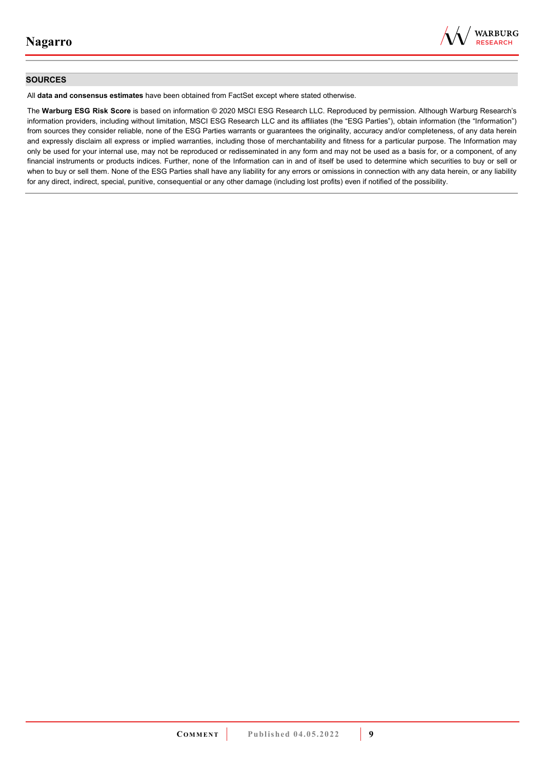

#### **SOURCES**

All **data and consensus estimates** have been obtained from FactSet except where stated otherwise.

The **Warburg ESG Risk Score** is based on information © 2020 MSCI ESG Research LLC. Reproduced by permission. Although Warburg Research's information providers, including without limitation, MSCI ESG Research LLC and its affiliates (the "ESG Parties"), obtain information (the "Information") from sources they consider reliable, none of the ESG Parties warrants or guarantees the originality, accuracy and/or completeness, of any data herein and expressly disclaim all express or implied warranties, including those of merchantability and fitness for a particular purpose. The Information may only be used for your internal use, may not be reproduced or redisseminated in any form and may not be used as a basis for, or a component, of any financial instruments or products indices. Further, none of the Information can in and of itself be used to determine which securities to buy or sell or when to buy or sell them. None of the ESG Parties shall have any liability for any errors or omissions in connection with any data herein, or any liability for any direct, indirect, special, punitive, consequential or any other damage (including lost profits) even if notified of the possibility.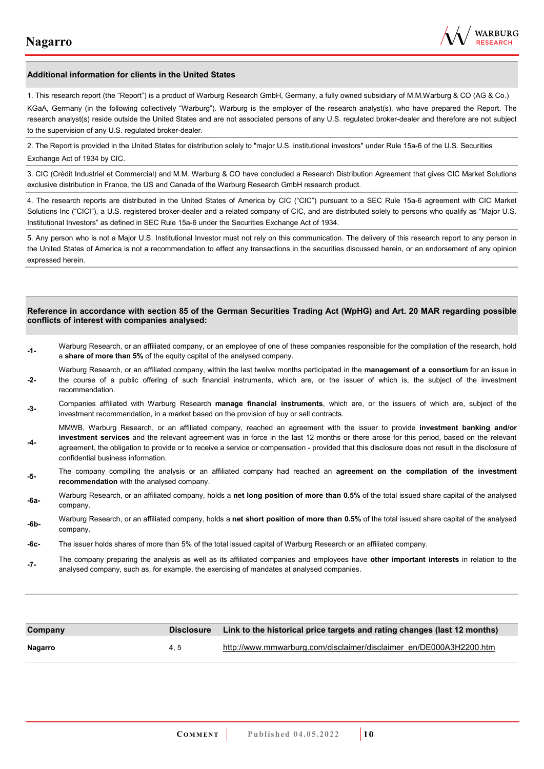

#### **Additional information for clients in the United States**

1. This research report (the "Report") is a product of Warburg Research GmbH, Germany, a fully owned subsidiary of M.M.Warburg & CO (AG & Co.)

KGaA, Germany (in the following collectively "Warburg"). Warburg is the employer of the research analyst(s), who have prepared the Report. The research analyst(s) reside outside the United States and are not associated persons of any U.S. regulated broker-dealer and therefore are not subject to the supervision of any U.S. regulated broker-dealer.

2. The Report is provided in the United States for distribution solely to "major U.S. institutional investors" under Rule 15a-6 of the U.S. Securities Exchange Act of 1934 by CIC.

3. CIC (Crédit Industriel et Commercial) and M.M. Warburg & CO have concluded a Research Distribution Agreement that gives CIC Market Solutions exclusive distribution in France, the US and Canada of the Warburg Research GmbH research product.

4. The research reports are distributed in the United States of America by CIC ("CIC") pursuant to a SEC Rule 15a-6 agreement with CIC Market Solutions Inc ("CICI"), a U.S. registered broker-dealer and a related company of CIC, and are distributed solely to persons who qualify as "Major U.S. Institutional Investors" as defined in SEC Rule 15a-6 under the Securities Exchange Act of 1934.

5. Any person who is not a Major U.S. Institutional Investor must not rely on this communication. The delivery of this research report to any person in the United States of America is not a recommendation to effect any transactions in the securities discussed herein, or an endorsement of any opinion expressed herein.

#### **Reference in accordance with section 85 of the German Securities Trading Act (WpHG) and Art. 20 MAR regarding possible conflicts of interest with companies analysed:**

- **-1-** Warburg Research, or an affiliated company, or an employee of one of these companies responsible for the compilation of the research, hold a **share of more than 5%** of the equity capital of the analysed company.
- **-2-**  Warburg Research, or an affiliated company, within the last twelve months participated in the **management of a consortium** for an issue in the course of a public offering of such financial instruments, which are, or the issuer of which is, the subject of the investment recommendation.
- **-3-** Companies affiliated with Warburg Research **manage financial instruments**, which are, or the issuers of which are, subject of the investment recommendation, in a market based on the provision of buy or sell contracts.

MMWB, Warburg Research, or an affiliated company, reached an agreement with the issuer to provide **investment banking and/or investment services** and the relevant agreement was in force in the last 12 months or there arose for this period, based on the relevant

- **-4**  agreement, the obligation to provide or to receive a service or compensation - provided that this disclosure does not result in the disclosure of confidential business information.
- **-5-** The company compiling the analysis or an affiliated company had reached an **agreement on the compilation of the investment recommendation** with the analysed company.
- **-6a-** Warburg Research, or an affiliated company, holds a **net long position of more than 0.5%** of the total issued share capital of the analysed company.
- **-6b-** Warburg Research, or an affiliated company, holds a **net short position of more than 0.5%** of the total issued share capital of the analysed company.
- **-6c-** The issuer holds shares of more than 5% of the total issued capital of Warburg Research or an affiliated company.
- **-7-** The company preparing the analysis as well as its affiliated companies and employees have **other important interests** in relation to the analysed company, such as, for example, the exercising of mandates at analysed companies.

| Company | <b>Disclosure</b> | Link to the historical price targets and rating changes (last 12 months) |
|---------|-------------------|--------------------------------------------------------------------------|
| Nagarro | 4.5               | http://www.mmwarburg.com/disclaimer/disclaimer_en/DE000A3H2200.htm       |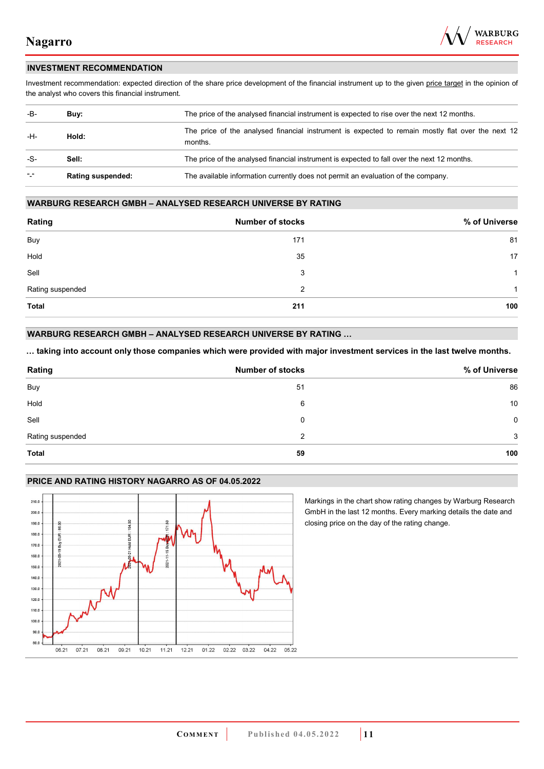

#### **INVESTMENT RECOMMENDATION**

Investment recommendation: expected direction of the share price development of the financial instrument up to the given price target in the opinion of the analyst who covers this financial instrument.

| -B-           | Buy:                     | The price of the analysed financial instrument is expected to rise over the next 12 months.                  |  |
|---------------|--------------------------|--------------------------------------------------------------------------------------------------------------|--|
| -H-<br>Hold:  |                          | The price of the analysed financial instrument is expected to remain mostly flat over the next 12<br>months. |  |
| -S-           | Sell:                    | The price of the analysed financial instrument is expected to fall over the next 12 months.                  |  |
| $\frac{1}{2}$ | <b>Rating suspended:</b> | The available information currently does not permit an evaluation of the company.                            |  |

#### **WARBURG RESEARCH GMBH – ANALYSED RESEARCH UNIVERSE BY RATING**

| Rating           | <b>Number of stocks</b> | % of Universe |
|------------------|-------------------------|---------------|
| Buy              | 171                     | 81            |
| Hold             | 35                      | 17            |
| Sell             | 3                       | -1            |
| Rating suspended | 2                       | 1             |
| <b>Total</b>     | 211                     | 100           |

#### **WARBURG RESEARCH GMBH – ANALYSED RESEARCH UNIVERSE BY RATING …**

**… taking into account only those companies which were provided with major investment services in the last twelve months.** 

| Rating           | <b>Number of stocks</b> | % of Universe |
|------------------|-------------------------|---------------|
| Buy              | 51                      | 86            |
| Hold             | 6                       | 10            |
| Sell             | 0                       | $\mathbf 0$   |
| Rating suspended | 2                       | 3             |
| Total            | 59                      | 100           |

#### **PRICE AND RATING HISTORY NAGARRO AS OF 04.05.2022**



Markings in the chart show rating changes by Warburg Research GmbH in the last 12 months. Every marking details the date and closing price on the day of the rating change.